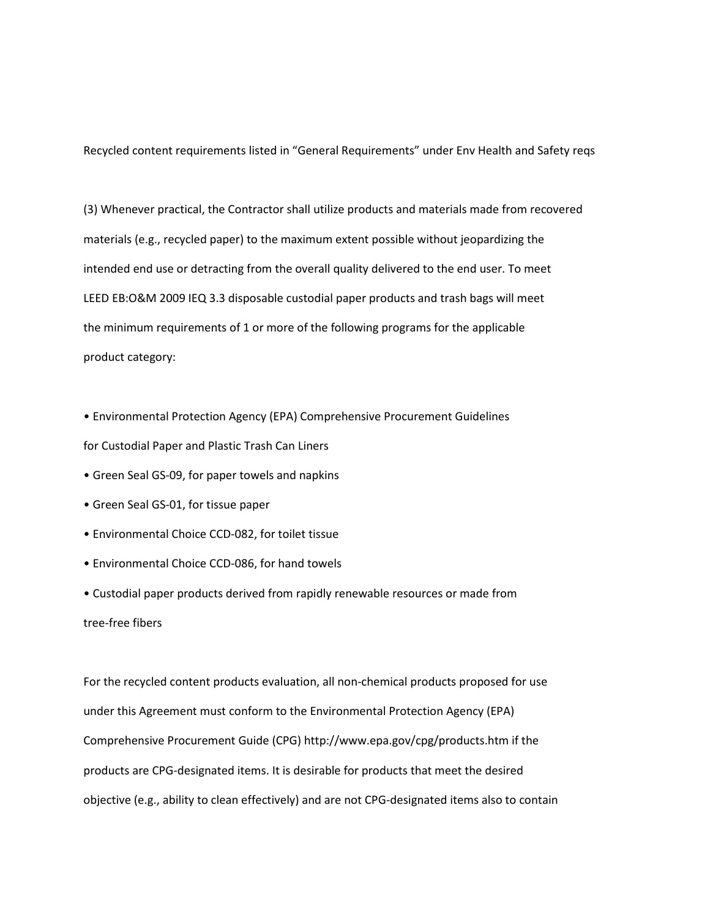Recycled content requirements listed in "General Requirements" under Env Health and Safety reqs

(3) Whenever practical, the Contractor shall utilize products and materials made from recovered materials (e.g., recycled paper) to the maximum extent possible without jeopardizing the intended end use or detracting from the overall quality delivered to the end user. To meet LEED EB:O&M 2009 IEQ 3.3 disposable custodial paper products and trash bags will meet the minimum requirements of 1 or more of the following programs for the applicable product category:

• Environmental Protection Agency (EPA) Comprehensive Procurement Guidelines for Custodial Paper and Plastic Trash Can Liners

- Green Seal GS-09, for paper towels and napkins
- Green Seal GS-01, for tissue paper
- Environmental Choice CCD-082, for toilet tissue
- Environmental Choice CCD-086, for hand towels

• Custodial paper products derived from rapidly renewable resources or made from tree-free fibers

For the recycled content products evaluation, all non-chemical products proposed for use under this Agreement must conform to the Environmental Protection Agency (EPA) Comprehensive Procurement Guide (CPG) http://www.epa.gov/cpg/products.htm if the products are CPG-designated items. It is desirable for products that meet the desired objective (e.g., ability to clean effectively) and are not CPG-designated items also to contain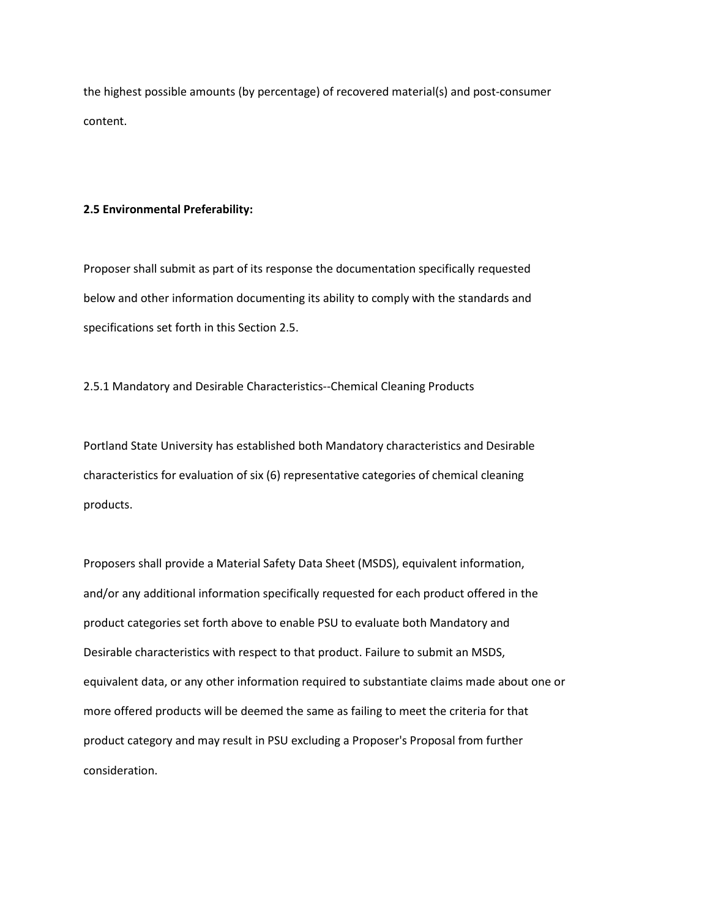the highest possible amounts (by percentage) of recovered material(s) and post-consumer content.

### **2.5 Environmental Preferability:**

Proposer shall submit as part of its response the documentation specifically requested below and other information documenting its ability to comply with the standards and specifications set forth in this Section 2.5.

2.5.1 Mandatory and Desirable Characteristics--Chemical Cleaning Products

Portland State University has established both Mandatory characteristics and Desirable characteristics for evaluation of six (6) representative categories of chemical cleaning products.

Proposers shall provide a Material Safety Data Sheet (MSDS), equivalent information, and/or any additional information specifically requested for each product offered in the product categories set forth above to enable PSU to evaluate both Mandatory and Desirable characteristics with respect to that product. Failure to submit an MSDS, equivalent data, or any other information required to substantiate claims made about one or more offered products will be deemed the same as failing to meet the criteria for that product category and may result in PSU excluding a Proposer's Proposal from further consideration.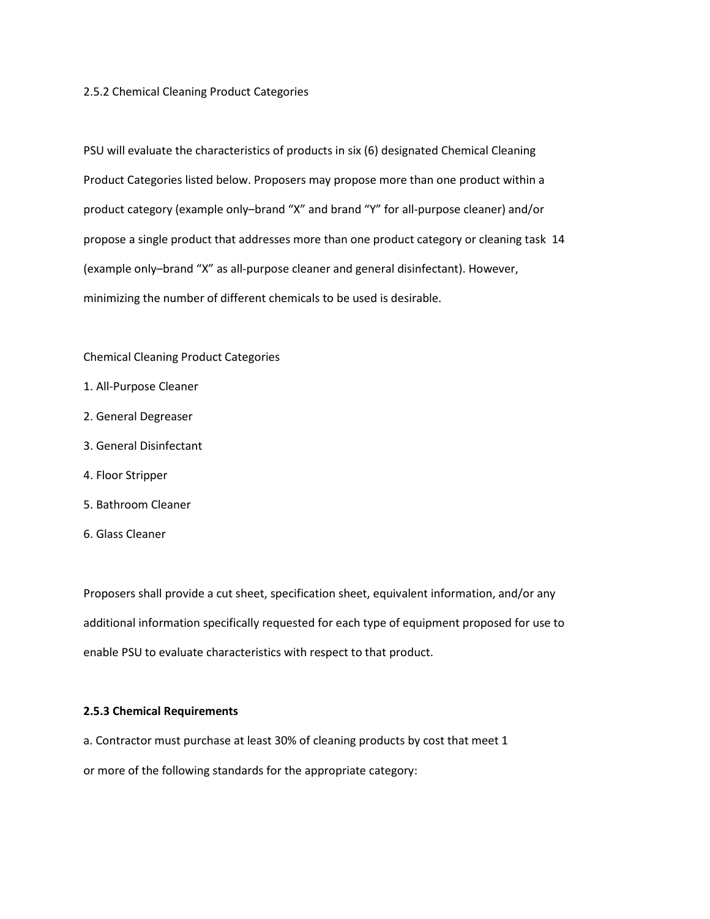### 2.5.2 Chemical Cleaning Product Categories

PSU will evaluate the characteristics of products in six (6) designated Chemical Cleaning Product Categories listed below. Proposers may propose more than one product within a product category (example only–brand "X" and brand "Y" for all-purpose cleaner) and/or propose a single product that addresses more than one product category or cleaning task 14 (example only–brand "X" as all-purpose cleaner and general disinfectant). However, minimizing the number of different chemicals to be used is desirable.

# Chemical Cleaning Product Categories

- 1. All-Purpose Cleaner
- 2. General Degreaser
- 3. General Disinfectant
- 4. Floor Stripper
- 5. Bathroom Cleaner
- 6. Glass Cleaner

Proposers shall provide a cut sheet, specification sheet, equivalent information, and/or any additional information specifically requested for each type of equipment proposed for use to enable PSU to evaluate characteristics with respect to that product.

## **2.5.3 Chemical Requirements**

a. Contractor must purchase at least 30% of cleaning products by cost that meet 1 or more of the following standards for the appropriate category: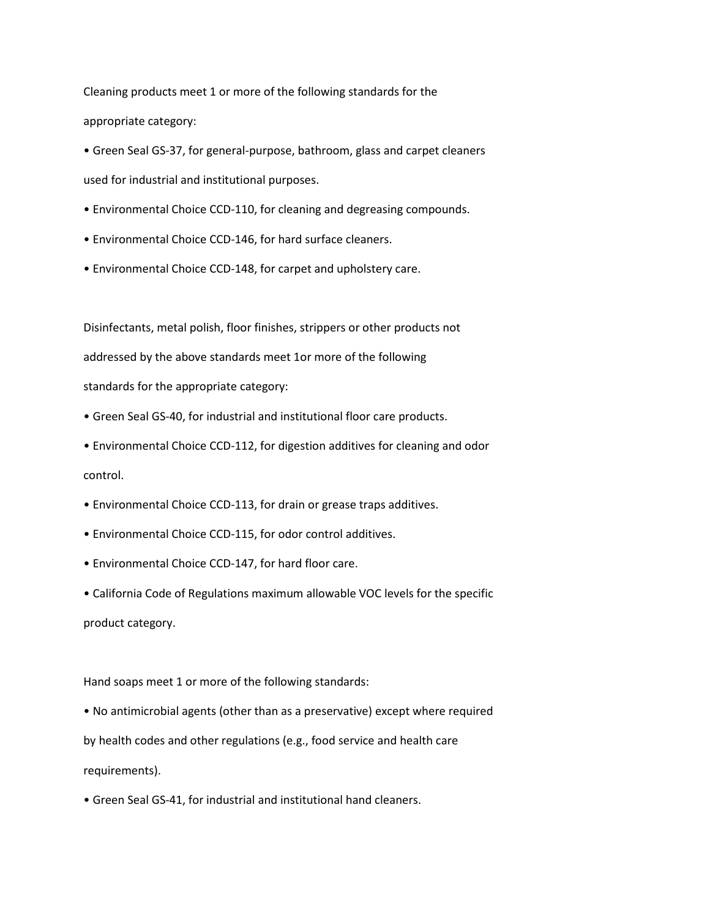Cleaning products meet 1 or more of the following standards for the appropriate category:

• Green Seal GS-37, for general-purpose, bathroom, glass and carpet cleaners used for industrial and institutional purposes.

- Environmental Choice CCD-110, for cleaning and degreasing compounds.
- Environmental Choice CCD-146, for hard surface cleaners.
- Environmental Choice CCD-148, for carpet and upholstery care.

Disinfectants, metal polish, floor finishes, strippers or other products not addressed by the above standards meet 1or more of the following standards for the appropriate category:

• Green Seal GS-40, for industrial and institutional floor care products.

• Environmental Choice CCD-112, for digestion additives for cleaning and odor control.

- Environmental Choice CCD-113, for drain or grease traps additives.
- Environmental Choice CCD-115, for odor control additives.
- Environmental Choice CCD-147, for hard floor care.

• California Code of Regulations maximum allowable VOC levels for the specific product category.

Hand soaps meet 1 or more of the following standards:

• No antimicrobial agents (other than as a preservative) except where required by health codes and other regulations (e.g., food service and health care requirements).

• Green Seal GS-41, for industrial and institutional hand cleaners.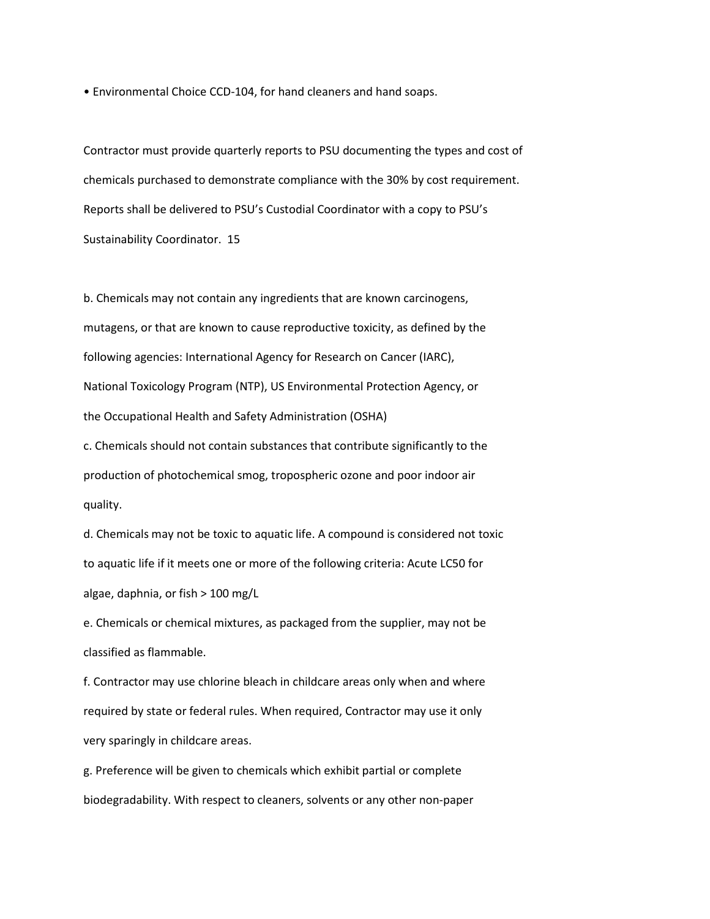• Environmental Choice CCD-104, for hand cleaners and hand soaps.

Contractor must provide quarterly reports to PSU documenting the types and cost of chemicals purchased to demonstrate compliance with the 30% by cost requirement. Reports shall be delivered to PSU's Custodial Coordinator with a copy to PSU's Sustainability Coordinator. 15

b. Chemicals may not contain any ingredients that are known carcinogens, mutagens, or that are known to cause reproductive toxicity, as defined by the following agencies: International Agency for Research on Cancer (IARC), National Toxicology Program (NTP), US Environmental Protection Agency, or the Occupational Health and Safety Administration (OSHA)

c. Chemicals should not contain substances that contribute significantly to the production of photochemical smog, tropospheric ozone and poor indoor air quality.

d. Chemicals may not be toxic to aquatic life. A compound is considered not toxic to aquatic life if it meets one or more of the following criteria: Acute LC50 for algae, daphnia, or fish > 100 mg/L

e. Chemicals or chemical mixtures, as packaged from the supplier, may not be classified as flammable.

f. Contractor may use chlorine bleach in childcare areas only when and where required by state or federal rules. When required, Contractor may use it only very sparingly in childcare areas.

g. Preference will be given to chemicals which exhibit partial or complete biodegradability. With respect to cleaners, solvents or any other non-paper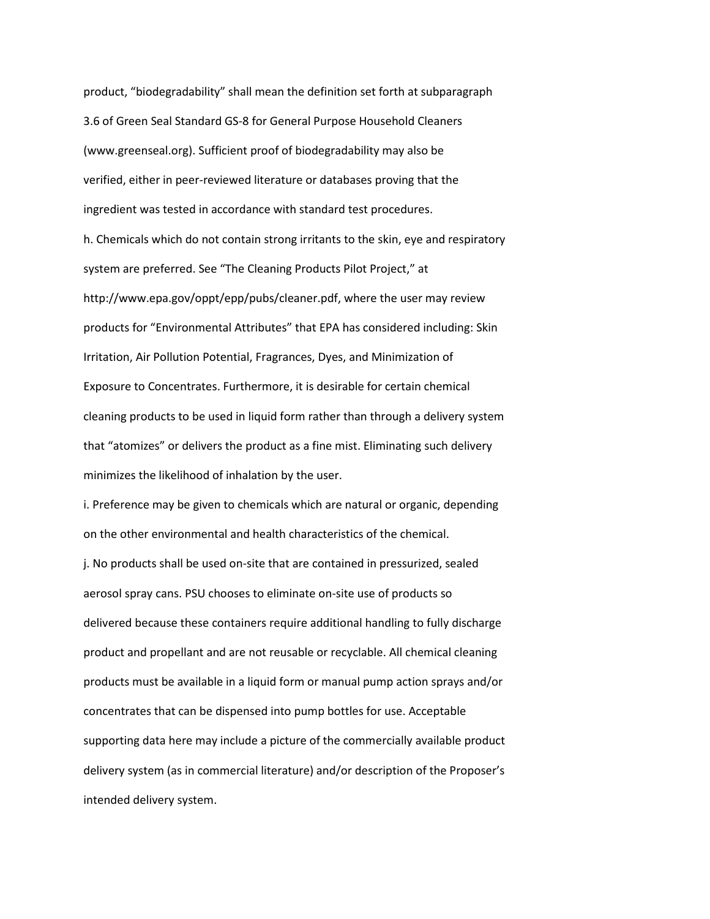product, "biodegradability" shall mean the definition set forth at subparagraph 3.6 of Green Seal Standard GS-8 for General Purpose Household Cleaners (www.greenseal.org). Sufficient proof of biodegradability may also be verified, either in peer-reviewed literature or databases proving that the ingredient was tested in accordance with standard test procedures. h. Chemicals which do not contain strong irritants to the skin, eye and respiratory system are preferred. See "The Cleaning Products Pilot Project," at http://www.epa.gov/oppt/epp/pubs/cleaner.pdf, where the user may review products for "Environmental Attributes" that EPA has considered including: Skin Irritation, Air Pollution Potential, Fragrances, Dyes, and Minimization of Exposure to Concentrates. Furthermore, it is desirable for certain chemical cleaning products to be used in liquid form rather than through a delivery system that "atomizes" or delivers the product as a fine mist. Eliminating such delivery minimizes the likelihood of inhalation by the user.

i. Preference may be given to chemicals which are natural or organic, depending on the other environmental and health characteristics of the chemical. j. No products shall be used on-site that are contained in pressurized, sealed aerosol spray cans. PSU chooses to eliminate on-site use of products so delivered because these containers require additional handling to fully discharge product and propellant and are not reusable or recyclable. All chemical cleaning products must be available in a liquid form or manual pump action sprays and/or concentrates that can be dispensed into pump bottles for use. Acceptable supporting data here may include a picture of the commercially available product delivery system (as in commercial literature) and/or description of the Proposer's intended delivery system.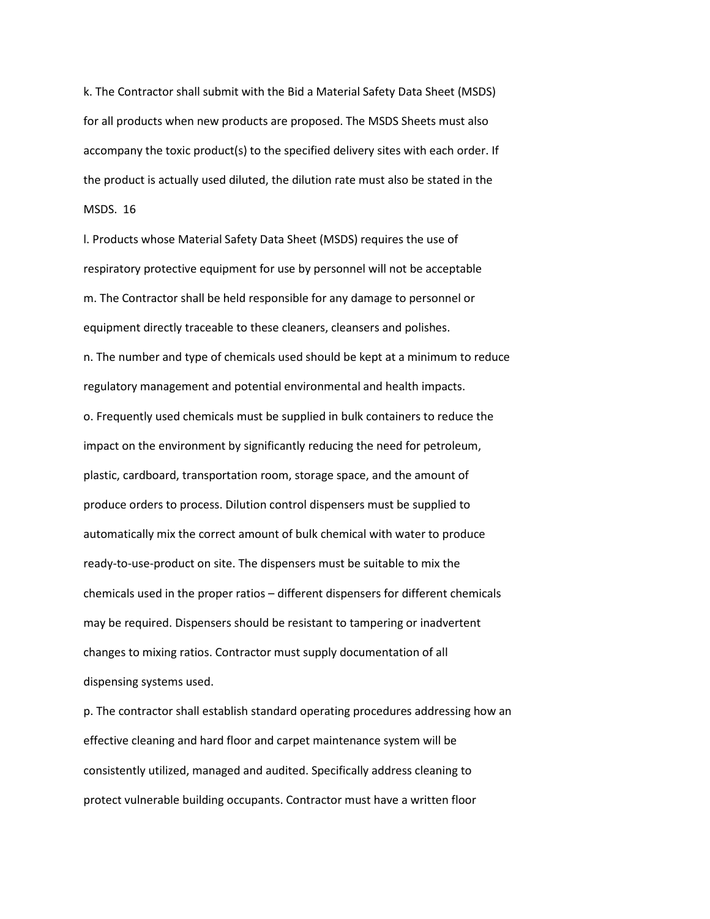k. The Contractor shall submit with the Bid a Material Safety Data Sheet (MSDS) for all products when new products are proposed. The MSDS Sheets must also accompany the toxic product(s) to the specified delivery sites with each order. If the product is actually used diluted, the dilution rate must also be stated in the MSDS. 16

l. Products whose Material Safety Data Sheet (MSDS) requires the use of respiratory protective equipment for use by personnel will not be acceptable m. The Contractor shall be held responsible for any damage to personnel or equipment directly traceable to these cleaners, cleansers and polishes. n. The number and type of chemicals used should be kept at a minimum to reduce regulatory management and potential environmental and health impacts.

o. Frequently used chemicals must be supplied in bulk containers to reduce the impact on the environment by significantly reducing the need for petroleum, plastic, cardboard, transportation room, storage space, and the amount of produce orders to process. Dilution control dispensers must be supplied to automatically mix the correct amount of bulk chemical with water to produce ready-to-use-product on site. The dispensers must be suitable to mix the chemicals used in the proper ratios – different dispensers for different chemicals may be required. Dispensers should be resistant to tampering or inadvertent changes to mixing ratios. Contractor must supply documentation of all dispensing systems used.

p. The contractor shall establish standard operating procedures addressing how an effective cleaning and hard floor and carpet maintenance system will be consistently utilized, managed and audited. Specifically address cleaning to protect vulnerable building occupants. Contractor must have a written floor